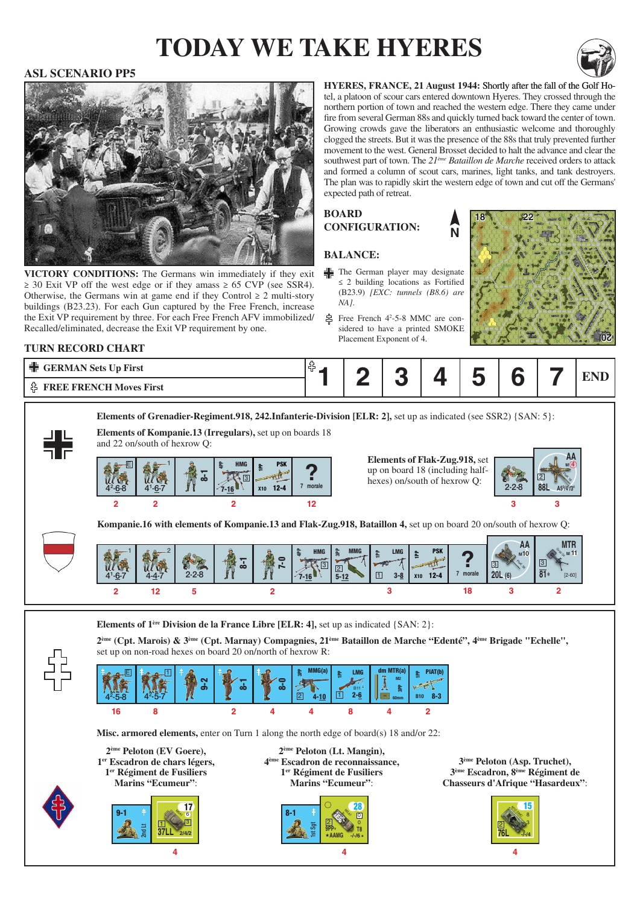# **today we take hyeres**



#### **ASL SCENARIO PP5**



VICTORY CONDITIONS: The Germans win immediately if they exit  $\geq$  30 Exit VP off the west edge or if they amass  $\geq$  65 CVP (see SSR4). Otherwise, the Germans win at game end if they Control  $\geq 2$  multi-story buildings (B23.23). For each Gun captured by the Free French, increase the Exit VP requirement by three. For each Free French AFV immobilized/ Recalled/eliminated, decrease the Exit VP requirement by one.

**HYERES, FRANCE, 21 August 1944: Shortly after the fall of the Golf Ho**tel, a platoon of scour cars entered downtown Hyeres. They crossed through the northern portion of town and reached the western edge. There they came under fire from several German 88s and quickly turned back toward the center of town. Growing crowds gave the liberators an enthusiastic welcome and thoroughly clogged the streets. But it was the presence of the 88s that truly prevented further movement to the west. General Brosset decided to halt the advance and clear the southwest part of town. The *21ème Bataillon de Marche* received orders to attack and formed a column of scout cars, marines, light tanks, and tank destroyers. The plan was to rapidly skirt the western edge of town and cut off the Germans' expected path of retreat.

**N**

#### **Board configuration:**

#### **Balance:**

- The German player may designate ≤ 2 building locations as Fortified (B23.9) *[EXC: tunnels (B8.6) are NA]*.
- Free French 4<sup>2</sup>-5-8 MMC are considered to have a printed SMOKE Placement Exponent of 4.



#### **Turn record chart**

| $\Box$<br><b>GERMAN Sets Up First</b><br>고드 | -- |  |  |  |  |  |  |  |
|---------------------------------------------|----|--|--|--|--|--|--|--|
| <b>FREE FRENCH Moves First</b>              |    |  |  |  |  |  |  |  |

**Elements of Grenadier-Regiment.918, 242.Infanterie-Division [ELR: 2], set up as indicated (see SSR2) {SAN: 5}:** 



**?**  $\begin{bmatrix} \text{up on board 18 (including half-} \text{keves)} \text{ on/south of 18 (including half-} \end{bmatrix}$ **Elements of Flak-Zug.918,** set hexes) on/south of hexrow Q:



**Kompanie.16 with elements of Kompanie.13 and Flak-Zug.918, Bataillon 4,** set up on board 20 on/south of hexrow Q:



**Elements of 1ère Division de la France Libre [ELR: 4],** set up as indicated {SAN: 2}:



**2ème (Cpt. Marois) & 3ème (Cpt. Marnay) Compagnies, 21ème Bataillon de Marche "Edenté", 4ème Brigade "Echelle",** set up on non-road hexes on board 20 on/north of hexrow R:



**Misc. armored elements,** enter on Turn 1 along the north edge of board(s) 18 and/or 22: